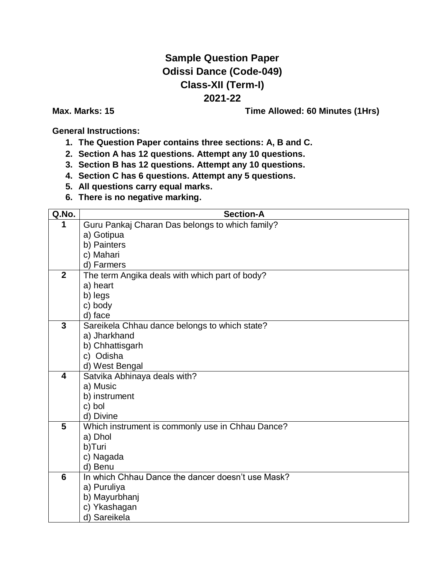## **Sample Question Paper Odissi Dance (Code-049) Class-XII (Term-I) 2021-22**

**Max. Marks: 15 Time Allowed: 60 Minutes (1Hrs)**

**General Instructions:**

- **1. The Question Paper contains three sections: A, B and C.**
- **2. Section A has 12 questions. Attempt any 10 questions.**
- **3. Section B has 12 questions. Attempt any 10 questions.**
- **4. Section C has 6 questions. Attempt any 5 questions.**
- **5. All questions carry equal marks.**
- **6. There is no negative marking.**

| Q.No.                   | <b>Section-A</b>                                  |
|-------------------------|---------------------------------------------------|
| 1                       | Guru Pankaj Charan Das belongs to which family?   |
|                         | a) Gotipua                                        |
|                         | b) Painters                                       |
|                         | c) Mahari                                         |
|                         | d) Farmers                                        |
| $\overline{2}$          | The term Angika deals with which part of body?    |
|                         | a) heart                                          |
|                         | b) legs                                           |
|                         | c) body                                           |
|                         | d) face                                           |
| 3                       | Sareikela Chhau dance belongs to which state?     |
|                         | a) Jharkhand                                      |
|                         | b) Chhattisgarh                                   |
|                         | c) Odisha                                         |
|                         | d) West Bengal                                    |
| $\overline{\mathbf{4}}$ | Satvika Abhinaya deals with?                      |
|                         | a) Music                                          |
|                         | b) instrument                                     |
|                         | c) bol                                            |
|                         | d) Divine                                         |
| $\overline{\mathbf{5}}$ | Which instrument is commonly use in Chhau Dance?  |
|                         | a) Dhol                                           |
|                         | b)Turi                                            |
|                         | c) Nagada                                         |
|                         | d) Benu                                           |
| 6                       | In which Chhau Dance the dancer doesn't use Mask? |
|                         | a) Puruliya                                       |
|                         | b) Mayurbhanj                                     |
|                         | c) Ykashagan                                      |
|                         | d) Sareikela                                      |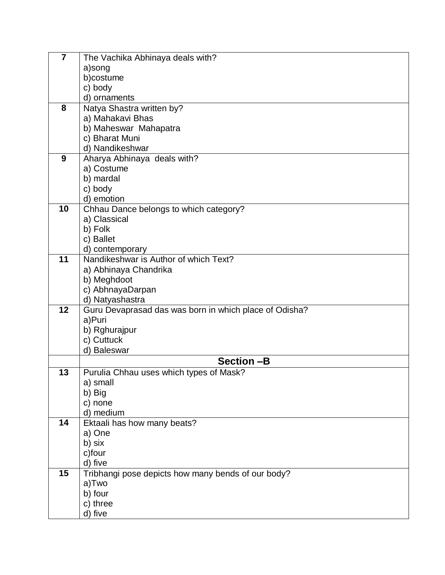| $\overline{7}$ | The Vachika Abhinaya deals with?                       |
|----------------|--------------------------------------------------------|
|                | a)song                                                 |
|                | b)costume                                              |
|                | c) body                                                |
|                | d) ornaments                                           |
| 8              | Natya Shastra written by?                              |
|                | a) Mahakavi Bhas                                       |
|                | b) Maheswar Mahapatra                                  |
|                | c) Bharat Muni                                         |
|                | d) Nandikeshwar                                        |
| 9              | Aharya Abhinaya deals with?                            |
|                | a) Costume                                             |
|                | b) mardal                                              |
|                | c) body                                                |
|                | d) emotion                                             |
| 10             | Chhau Dance belongs to which category?                 |
|                | a) Classical                                           |
|                | b) Folk                                                |
|                | c) Ballet                                              |
|                | d) contemporary                                        |
| 11             | Nandikeshwar is Author of which Text?                  |
|                | a) Abhinaya Chandrika                                  |
|                | b) Meghdoot                                            |
|                | c) AbhnayaDarpan                                       |
|                | d) Natyashastra                                        |
| 12             | Guru Devaprasad das was born in which place of Odisha? |
|                | a)Puri                                                 |
|                | b) Rghurajpur                                          |
|                | c) Cuttuck                                             |
|                | d) Baleswar                                            |
|                | <b>Section-B</b>                                       |
| 13             | Purulia Chhau uses which types of Mask?                |
|                | a) small                                               |
|                | b) Big                                                 |
|                | c) none                                                |
|                | d) medium                                              |
| 14             | Ektaali has how many beats?                            |
|                | a) One                                                 |
|                | b) six                                                 |
|                | c)four                                                 |
|                | d) five                                                |
| 15             | Tribhangi pose depicts how many bends of our body?     |
|                | a)Two                                                  |
|                | b) four                                                |
|                | c) three                                               |
|                | d) five                                                |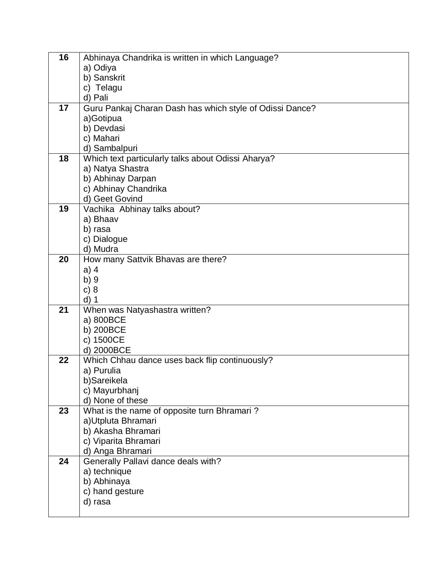| 16 | Abhinaya Chandrika is written in which Language?         |
|----|----------------------------------------------------------|
|    | a) Odiya                                                 |
|    | b) Sanskrit                                              |
|    | c) Telagu                                                |
|    | d) Pali                                                  |
| 17 | Guru Pankaj Charan Dash has which style of Odissi Dance? |
|    | a)Gotipua                                                |
|    | b) Devdasi                                               |
|    | c) Mahari                                                |
|    | d) Sambalpuri                                            |
| 18 | Which text particularly talks about Odissi Aharya?       |
|    | a) Natya Shastra                                         |
|    | b) Abhinay Darpan                                        |
|    | c) Abhinay Chandrika                                     |
|    | d) Geet Govind                                           |
| 19 | Vachika Abhinay talks about?                             |
|    | a) Bhaav                                                 |
|    | b) rasa                                                  |
|    | c) Dialogue                                              |
| 20 | d) Mudra                                                 |
|    | How many Sattvik Bhavas are there?                       |
|    | $a)$ 4                                                   |
|    | b) 9<br>c) 8                                             |
|    | $d)$ 1                                                   |
| 21 | When was Natyashastra written?                           |
|    | a) 800BCE                                                |
|    | b) 200BCE                                                |
|    | c) 1500CE                                                |
|    | d) 2000BCE                                               |
| 22 | Which Chhau dance uses back flip continuously?           |
|    | a) Purulia                                               |
|    | b)Sareikela                                              |
|    | c) Mayurbhanj                                            |
|    | d) None of these                                         |
| 23 | What is the name of opposite turn Bhramari?              |
|    | a) Utpluta Bhramari                                      |
|    | b) Akasha Bhramari                                       |
|    | c) Viparita Bhramari                                     |
|    | d) Anga Bhramari                                         |
| 24 | Generally Pallavi dance deals with?                      |
|    | a) technique                                             |
|    | b) Abhinaya                                              |
|    | c) hand gesture                                          |
|    | d) rasa                                                  |
|    |                                                          |